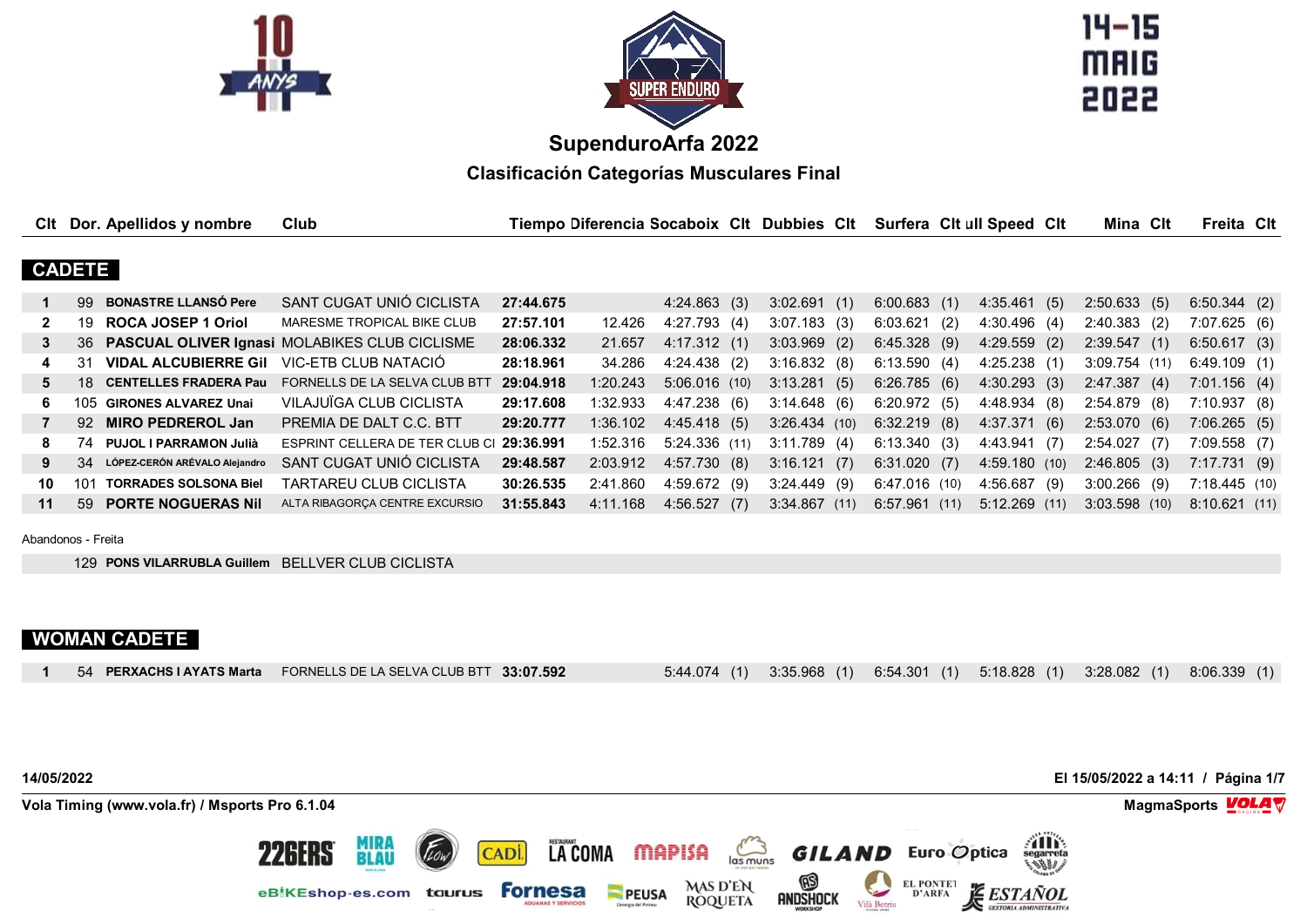



 $14 - 15$ **MAIG** 2022

# **SupenduroArfa 2022**

**Clasificación Categorías Musculares Final**

| Clt          |               | Dor. Apellidos y nombre          | Club                                             |           | Tiempo Diferencia Socaboix CIt Dubbies CIt |                 |                | Surfera Cit ull Speed Cit |                 |     | Mina Clt        | Freita Cit   |  |
|--------------|---------------|----------------------------------|--------------------------------------------------|-----------|--------------------------------------------|-----------------|----------------|---------------------------|-----------------|-----|-----------------|--------------|--|
|              |               |                                  |                                                  |           |                                            |                 |                |                           |                 |     |                 |              |  |
|              | <b>CADETE</b> |                                  |                                                  |           |                                            |                 |                |                           |                 |     |                 |              |  |
|              | 99            | <b>BONASTRE LLANSÓ Pere</b>      | SANT CUGAT UNIÓ CICLISTA                         | 27:44.675 |                                            | 4:24.863(3)     | 3:02.691(1)    | 6:00.683(1)               | 4:35.461(5)     |     | 2:50.633(5)     | 6:50.344(2)  |  |
| $\mathbf{2}$ | 19.           | <b>ROCA JOSEP 1 Oriol</b>        | MARESME TROPICAL BIKE CLUB                       | 27:57.101 | 12.426                                     | 4:27.793(4)     | $3:07.183$ (3) | 6:03.621(2)               | 4:30.496(4)     |     | $2:40.383$ (2)  | 7:07.625(6)  |  |
| 3            |               |                                  | 36 PASCUAL OLIVER Ignasi MOLABIKES CLUB CICLISME | 28:06.332 | 21.657                                     | 4:17.312(1)     | $3:03.969$ (2) | 6:45.328(9)               | $4:29.559$ (2)  |     | 2:39.547(1)     | 6:50.617(3)  |  |
| 4            | 31            | <b>VIDAL ALCUBIERRE Gil</b>      | VIC-ETB CLUB NATACIÓ                             | 28:18.961 | 34.286                                     | $4:24.438$ (2)  | 3:16.832(8)    | 6:13.590(4)               | $4:25.238$ (1)  |     | $3:09.754$ (11) | 6:49.109(1)  |  |
| 5.           | $-18$         | <b>CENTELLES FRADERA Pau</b>     | FORNELLS DE LA SELVA CLUB BTT                    | 29:04.918 | 1:20.243                                   | $5:06.016$ (10) | 3:13.281(5)    | 6:26.785(6)               | 4:30.293(3)     |     | 2:47.387(4)     | 7:01.156(4)  |  |
| 6.           | 105.          | <b>GIRONES ALVAREZ Unai</b>      | VILAJUÏGA CLUB CICLISTA                          | 29:17.608 | 1:32.933                                   | 4:47.238(6)     | 3:14.648(6)    | 6:20.972(5)               | 4:48.934 (8)    |     | $2:54.879$ (8)  | 7:10.937(8)  |  |
|              |               | 92 MIRO PEDREROL Jan             | PREMIA DE DALT C.C. BTT                          | 29:20.777 | 1:36.102                                   | 4:45.418(5)     | 3:26.434(10)   | $6:32.219$ (8)            | 4:37.371(6)     |     | 2:53.070(6)     | 7:06.265(5)  |  |
| 8            | 74            | <b>PUJOL I PARRAMON Julià</b>    | ESPRINT CELLERA DE TER CLUB CI                   | 29:36.991 | 1:52.316                                   | 5:24.336(11)    | 3:11.789(4)    | 6:13.340(3)               | 4:43.941 (7)    |     | 2:54.027(7)     | 7:09.558(7)  |  |
| 9            |               | 34 LÓPEZ CERÓN ARÉVALO Alejandro | SANT CUGAT UNIÓ CICLISTA                         | 29:48.587 | 2:03.912                                   | 4:57.730(8)     | 3:16.121(7)    | 6:31.020(7)               | 4:59.180(10)    |     | 2:46.805(3)     | 7:17.731(9)  |  |
| 10           | 101           | <b>TORRADES SOLSONA Biel</b>     | TARTAREU CLUB CICLISTA                           | 30:26.535 | 2:41.860                                   | 4:59.672(9)     | $3:24.449$ (9) | 6:47.016(10)              | 4:56.687        | (9) | $3:00.266$ (9)  | 7:18.445(10) |  |
| 11           | 59            | <b>PORTE NOGUERAS Nil</b>        | ALTA RIBAGORCA CENTRE EXCURSIO                   | 31:55.843 | 4:11.168                                   | 4:56.527(7)     | 3:34.867(11)   | 6:57.961(11)              | $5:12.269$ (11) |     | $3:03.598$ (10) | 8:10.621(11) |  |

Abandonos - Freita

129 **PONS VILARRUBLA Guillem** BELLVER CLUB CICLISTA

# **WOMAN CADETE**

| 54 PERXACHS I AYATS Marta FORNELLS DE LA SELVA CLUB BTT 33:07.592 | 5:44.074 (1) 3:35.968 (1) 6:54.301 (1) 5:18.828 (1) 3:28.082 (1) 8:06.339 (1) |
|-------------------------------------------------------------------|-------------------------------------------------------------------------------|
|-------------------------------------------------------------------|-------------------------------------------------------------------------------|

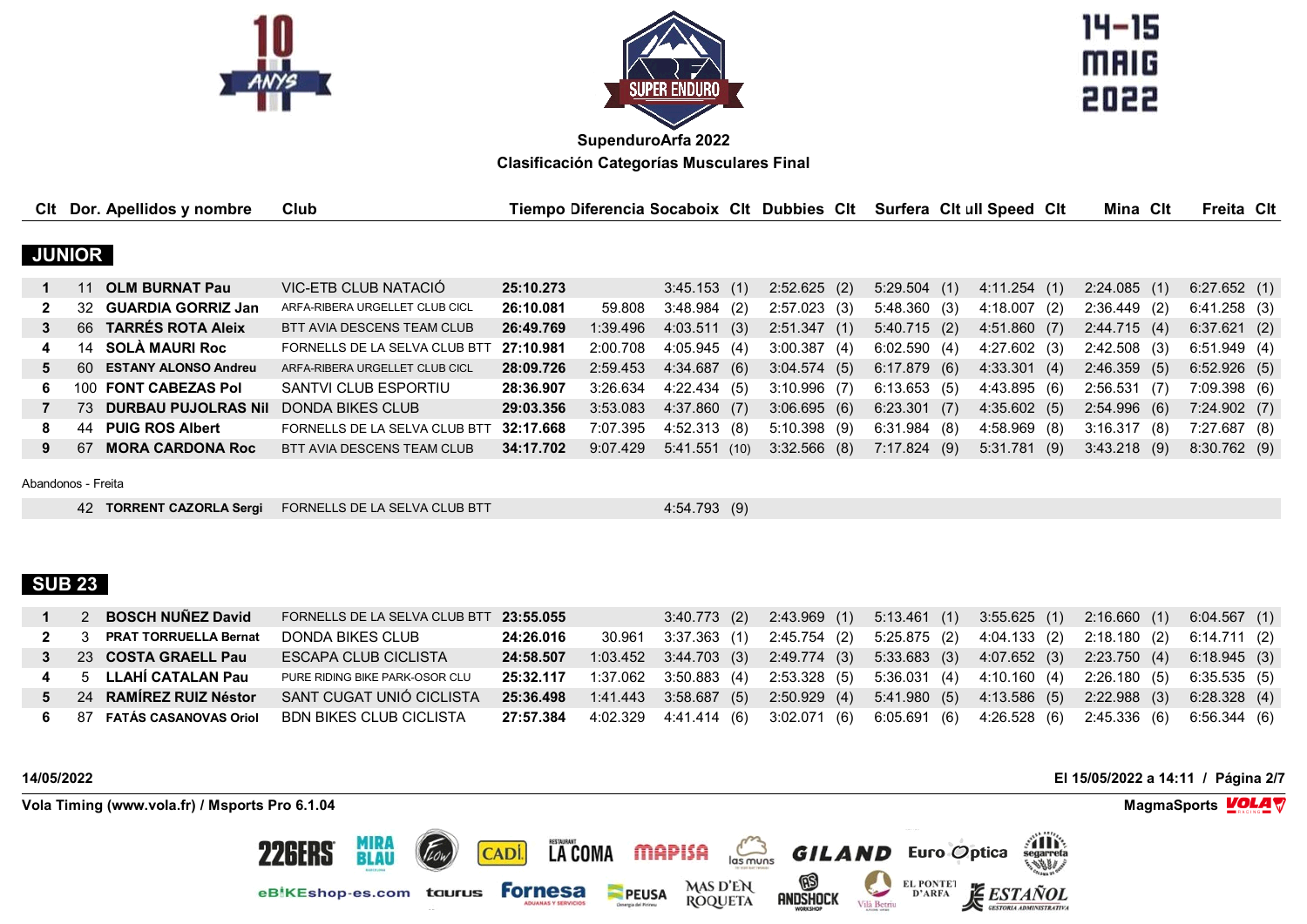



 $14 - 15$ **MAIG** 

| Clt |               | Dor. Apellidos y nombre     | Club                           |           | Tiempo Diferencia Socaboix Clt Dubbies Clt |              |     |                |     | Surfera Cit ull Speed Cit |                |     | Mina Clt       | Freita Cit  |  |
|-----|---------------|-----------------------------|--------------------------------|-----------|--------------------------------------------|--------------|-----|----------------|-----|---------------------------|----------------|-----|----------------|-------------|--|
|     |               |                             |                                |           |                                            |              |     |                |     |                           |                |     |                |             |  |
|     | <b>JUNIOR</b> |                             |                                |           |                                            |              |     |                |     |                           |                |     |                |             |  |
|     |               | <b>OLM BURNAT Pau</b>       | VIC-ETB CLUB NATACIÓ           | 25:10.273 |                                            | 3:45.153(1)  |     | $2:52.625$ (2) |     | 5:29.504(1)               | 4:11.254(1)    |     | 2:24.085(1)    | 6:27.652(1) |  |
|     | 32.           | <b>GUARDIA GORRIZ Jan</b>   | ARFA-RIBERA URGELLET CLUB CICL | 26:10.081 | 59.808                                     | 3:48.984(2)  |     | 2:57.023(3)    |     | 5:48.360(3)               | 4:18.007       | (2) | $2:36.449$ (2) | 6:41.258(3) |  |
| 3   | 66            | <b>TARRES ROTA Aleix</b>    | BTT AVIA DESCENS TEAM CLUB     | 26:49.769 | 1:39.496                                   | 4:03.511(3)  |     | 2:51.347(1)    |     | 5:40.715(2)               | 4:51.860(7)    |     | 2:44.715(4)    | 6:37.621(2) |  |
| 4   |               | 14 SOLA MAURI Roc           | FORNELLS DE LA SELVA CLUB BTT  | 27:10.981 | 2:00.708                                   | 4:05.945(4)  |     | 3:00.387       | (4) | 6:02.590(4)               | $4:27.602$ (3) |     | $2:42.508$ (3) | 6:51.949(4) |  |
| 5.  | -60           | <b>ESTANY ALONSO Andreu</b> | ARFA-RIBERA URGELLET CLUB CICL | 28:09.726 | 2:59.453                                   | 4:34.687     | (6) | 3:04.574(5)    |     | $6:17.879$ (6)            | 4:33.301(4)    |     | 2:46.359(5)    | 6:52.926(5) |  |
| 6.  | 100.          | <b>FONT CABEZAS Pol</b>     | SANTVI CLUB ESPORTIU           | 28:36.907 | 3:26.634                                   | 4:22.434(5)  |     | $3:10.996$ (7) |     | 6:13.653(5)               | 4:43.895(6)    |     | 2:56.531(7)    | 7:09.398(6) |  |
|     | 73.           | <b>DURBAU PUJOLRAS Nil</b>  | DONDA BIKES CLUB               | 29:03.356 | 3:53.083                                   | 4:37.860(7)  |     | 3:06.695(6)    |     | 6:23.301(7)               | 4:35.602(5)    |     | 2:54.996(6)    | 7:24.902(7) |  |
| 8   | 44            | <b>PUIG ROS Albert</b>      | FORNELLS DE LA SELVA CLUB BTT  | 32:17.668 | 7:07.395                                   | 4:52.313 (8) |     | $5:10.398$ (9) |     | $6:31.984$ (8)            | $4:58.969$ (8) |     | 3:16.317(8)    | 7:27.687(8) |  |
| 9   | 67            | <b>MORA CARDONA Roc</b>     | BTT AVIA DESCENS TEAM CLUB     | 34:17.702 | 9:07.429                                   | 5:41.551(10) |     | $3:32.566$ (8) |     | 7:17.824(9)               | $5:31.781$ (9) |     | $3:43.218$ (9) | 8:30.762(9) |  |

Abandonos - Freita

**TORRENT CAZORLA Sergi** FORNELLS DE LA SELVA CLUB BTT 4:54.793 (9)

## **SUB 23**

|  | <b>BOSCH NUÑEZ David</b>   | FORNELLS DE LA SELVA CLUB BTT 23:55.055 |           |                                            |  | 3:40.773 (2) 2:43.969 (1) 5:13.461 (1) 3:55.625 (1) 2:16.660 (1)                                        | 6:04.567 (1) |
|--|----------------------------|-----------------------------------------|-----------|--------------------------------------------|--|---------------------------------------------------------------------------------------------------------|--------------|
|  | 2 3 PRAT TORRUELLA Bernat  | DONDA BIKES CLUB                        | 24:26.016 |                                            |  | 30.961 3:37.363 (1) 2:45.754 (2) 5:25.875 (2) 4:04.133 (2) 2:18.180 (2) 6:14.711 (2)                    |              |
|  | 3 23 COSTA GRAELL Pau      | ESCAPA CLUB CICLISTA                    | 24:58.507 |                                            |  | 1:03.452 3:44.703 (3) 2:49.774 (3) 5:33.683 (3) 4:07.652 (3) 2:23.750 (4) 6:18.945 (3)                  |              |
|  | 4 5 LLAHÍ CATALAN Pau      | PURE RIDING BIKE PARK-OSOR CLU          |           |                                            |  | <b>25:32.117</b> 1:37.062 3:50.883 (4) 2:53.328 (5) 5:36.031 (4) 4:10.160 (4) 2:26.180 (5) 6:35.535 (5) |              |
|  | 5 24 RAMÍREZ RUIZ Néstor   | SANT CUGAT UNIÓ CICLISTA                |           | <b>25:36.498</b> 1:41.443  3:58.687  (5)   |  | 2:50.929 (4) 5:41.980 (5) 4:13.586 (5) 2:22.988 (3)                                                     | 6:28.328 (4) |
|  | 6 87 FATÁS CASANOVAS Oriol | BDN BIKES CLUB CICLISTA                 |           | <b>27:57.384</b> 4:02.329   4:41.414   (6) |  | 3:02.071 (6) 6:05.691 (6) 4:26.528 (6) 2:45.336 (6)                                                     | 6:56.344 (6) |

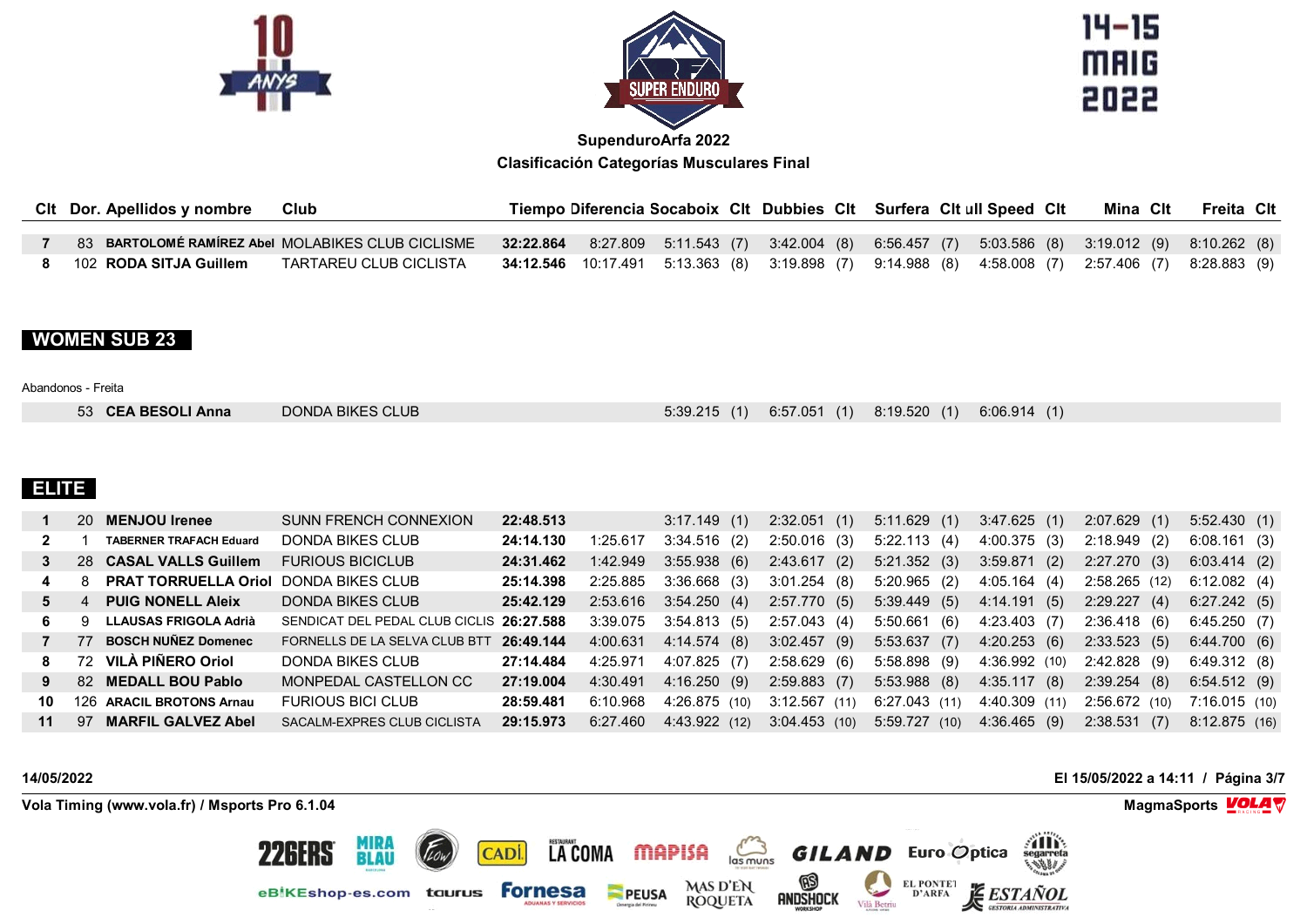



 $14 - 15$ **MAIG** 2022

| Clt Dor. Apellidos y nombre | Club                                              |  |  | Tiempo Diferencia Socaboix Clt Dubbies Clt Surfera Clt ull Speed Clt                                     |  |  | Mina Clt | Freita Clt |  |
|-----------------------------|---------------------------------------------------|--|--|----------------------------------------------------------------------------------------------------------|--|--|----------|------------|--|
|                             | 83 BARTOLOMÉ RAMÍREZ Abel MOLABIKES CLUB CICLISME |  |  | 32:22.864 8:27.809 5:11.543 (7) 3:42.004 (8) 6:56.457 (7) 5:03.586 (8) 3:19.012 (9) 8:10.262 (8)         |  |  |          |            |  |
| 102 RODA SITJA Guillem      | TARTAREU CLUB CICLISTA                            |  |  | <b>34:12.546</b> 10:17.491 5:13.363 (8) 3:19.898 (7) 9:14.988 (8) 4:58.008 (7) 2:57.406 (7) 8:28.883 (9) |  |  |          |            |  |

## **WOMEN SUB 23**

#### Abandonos - Freita

| 53 CEA BESOLI Anna | DONDA BIKES CLUB |  | 5:39.215 (1) 6:57.051 (1) 8:19.520 (1) 6:06.914 (1) |  |  |
|--------------------|------------------|--|-----------------------------------------------------|--|--|
|--------------------|------------------|--|-----------------------------------------------------|--|--|

## **ELITE**

|    |    | 20 MENJOU Irenee                             | <b>SUNN FRENCH CONNEXION</b>             | 22:48.513 |          | 3:17.149(1)    | 2:32.051(1)    | 5:11.629(1)     | 3:47.625(1)   | 2:07.629(1)    | 5:52.430(1)    |
|----|----|----------------------------------------------|------------------------------------------|-----------|----------|----------------|----------------|-----------------|---------------|----------------|----------------|
| 2  |    | <b>TABERNER TRAFACH Eduard</b>               | DONDA BIKES CLUB                         | 24:14.130 | 1:25.617 | $3:34.516$ (2) | $2:50.016$ (3) | 5:22.113(4)     | 4:00.375(3)   | $2:18.949$ (2) | 6:08.161(3)    |
|    |    | 28 CASAL VALLS Guillem                       | <b>FURIOUS BICICLUB</b>                  | 24:31.462 | 1:42.949 | 3:55.938(6)    | 2:43.617(2)    | 5:21.352(3)     | 3:59.871(2)   | $2:27.270$ (3) | $6:03.414$ (2) |
|    |    | <b>PRAT TORRUELLA Oriol DONDA BIKES CLUB</b> |                                          | 25:14.398 | 2:25.885 | $3:36.668$ (3) | 3:01.254(8)    | $5:20.965$ (2)  | 4:05.164(4)   | 2:58.265(12)   | 6:12.082(4)    |
|    |    | <b>PUIG NONELL Aleix</b>                     | DONDA BIKES CLUB                         | 25:42.129 | 2:53.616 | 3:54.250(4)    | 2:57.770(5)    | 5:39.449(5)     | 4:14.191(5)   | 2:29.227(4)    | 6:27.242(5)    |
| 6. | q  | LLAUSAS FRIGOLA Adrià                        | SENDICAT DEL PEDAL CLUB CICLIS 26:27.588 |           | 3:39.075 | 3:54.813(5)    | 2:57.043(4)    | 5:50.661 (6)    | 4:23.403 (7)  | $2:36.418$ (6) | 6:45.250(7)    |
|    | 77 | <b>BOSCH NUÑEZ Domenec</b>                   | FORNELLS DE LA SELVA CLUB BTT            | 26:49.144 | 4:00.631 | 4:14.574(8)    | 3:02.457(9)    | 5:53.637(7)     | 4:20.253(6)   | 2:33.523(5)    | 6:44.700(6)    |
|    |    | 72 VILÀ PIÑERO Oriol                         | DONDA BIKES CLUB                         | 27:14.484 | 4:25.971 | 4:07.825 (7)   | 2:58.629 (6)   | 5:58.898 (9)    | 4:36.992 (10) | 2:42.828 (9)   | 6:49.312(8)    |
|    |    | 82 MEDALL BOU Pablo                          | MONPEDAL CASTELLON CC                    | 27:19.004 | 4:30.491 | 4:16.250(9)    | 2:59.883(7)    | $5:53.988$ (8)  | 4:35.117(8)   | 2:39.254(8)    | 6:54.512(9)    |
| 10 |    | 126 ARACIL BROTONS Arnau                     | <b>FURIOUS BICI CLUB</b>                 | 28:59.481 | 6:10.968 | 4:26.875 (10)  | 3:12.567(11)   | $6:27.043$ (11) | 4:40.309 (11) | 2:56.672 (10)  | 7:16.015(10)   |
| 11 | 97 | <b>MARFIL GALVEZ Abel</b>                    | SACALM-EXPRES CLUB CICLISTA              | 29:15.973 | 6:27.460 | 4:43.922 (12)  | 3:04.453(10)   | 5:59.727 (10)   | 4:36.465 (9)  | 2:38.531(7)    | 8:12.875(16)   |

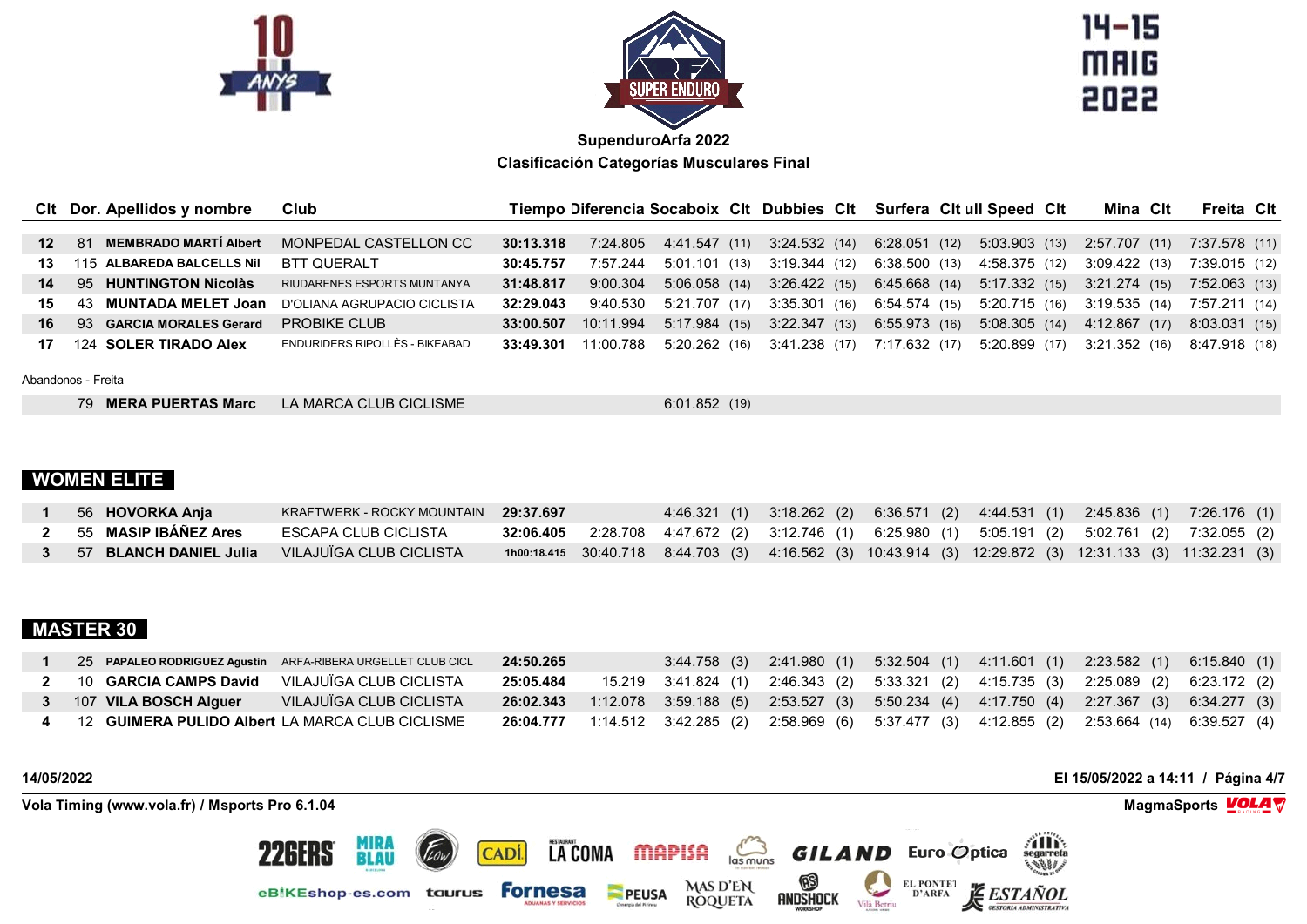



 $14 - 15$ **MAIG** 2022

|                 | Cit Dor. Apellidos y nombre               | Club                           |           |                        |               | Tiempo Diferencia Socaboix Clt Dubbies Clt Surfera Clt ull Speed Clt |               |               | Mina Clt                                  | Freita Clt    |  |
|-----------------|-------------------------------------------|--------------------------------|-----------|------------------------|---------------|----------------------------------------------------------------------|---------------|---------------|-------------------------------------------|---------------|--|
|                 |                                           |                                |           |                        |               |                                                                      |               |               |                                           |               |  |
| 12 <sup>1</sup> | <b>MEMBRADO MARTÍ Albert</b><br><b>81</b> | MONPEDAL CASTELLON CC          | 30:13.318 | 7:24.805 4:41.547 (11) |               | 3:24.532 (14) 6:28.051 (12) 5:03.903 (13) 2:57.707 (11)              |               |               |                                           | 7:37.578 (11) |  |
| 13.             | 115 ALBAREDA BALCELLS Nil                 | <b>BTT QUERALT</b>             | 30:45.757 | 7:57.244               | 5:01.101 (13) | 3:19.344 (12)                                                        | 6:38.500 (13) | 4:58.375 (12) | 3:09.422 (13)                             | 7:39.015 (12) |  |
| 14              | 95 HUNTINGTON Nicolàs                     | RIUDARENES ESPORTS MUNTANYA    | 31:48.817 | 9:00.304               | 5:06.058(14)  | 3:26.422 (15) 6:45.668 (14) 5:17.332 (15) 3:21.274 (15)              |               |               |                                           | 7:52.063 (13) |  |
| 15              | 43 MUNTADA MELET Joan                     | D'OLIANA AGRUPACIO CICLISTA    | 32:29.043 | 9:40.530               | 5:21.707 (17) | 3:35.301(16)                                                         |               |               | 6:54.574 (15) 5:20.715 (16) 3:19.535 (14) | 7:57.211 (14) |  |
| 16              | 93 GARCIA MORALES Gerard                  | <b>PROBIKE CLUB</b>            | 33:00.507 | 10:11.994              | 5:17.984(15)  | 3:22.347(13)                                                         | 6:55.973(16)  | 5:08.305 (14) | 4:12.867 (17)                             | 8:03.031 (15) |  |
|                 | 124 SOLER TIRADO Alex                     | ENDURIDERS RIPOLLÈS - BIKEABAD | 33:49.301 | 11:00.788              | 5:20.262 (16) | 3:41.238 (17) 7:17.632 (17)                                          |               |               | 5:20.899 (17) 3:21.352 (16)               | 8:47.918 (18) |  |

Abandonos - Freita

| 79 MERA PUERTAS Marc | LA MARCA CLUB CICLISME | 6:01.852(19) |
|----------------------|------------------------|--------------|
|----------------------|------------------------|--------------|

# **WOMEN ELITE**

| 56 HOVORKA Anja        | KRAFTWERK - ROCKY MOUNTAIN 29:37.697 |  |  |  | 4:46.321 (1) 3:18.262 (2) 6:36.571 (2) 4:44.531 (1) 2:45.836 (1) 7:26.176 (1)                           |
|------------------------|--------------------------------------|--|--|--|---------------------------------------------------------------------------------------------------------|
| 55 MASIP IBAÑEZ Ares   | ESCAPA CLUB CICLISTA                 |  |  |  | <b>32:06.405</b> 2:28.708 4:47.672 (2) 3:12.746 (1) 6:25.980 (1) 5:05.191 (2) 5:02.761 (2) 7:32.055 (2) |
| 57 BLANCH DANIEL Julia | VILAJUÏGA CLUB CICLISTA              |  |  |  | 1000:18.415 30:40.718 8:44.703 (3) 4:16.562 (3) 10:43.914 (3) 12:29.872 (3) 12:31.133 (3) 11:32.231 (3) |

# **MASTER 30**

| 25 PAPALEO RODRIGUEZ Agustin ARFA-RIBERA URGELLET CLUB CICL | 24:50.265 | 3:44.758 (3) 2:41.980 (1) 5:32.504 (1) 4:11.601 (1) 2:23.582 (1)                                         |  | 6:15.840 (1) |
|-------------------------------------------------------------|-----------|----------------------------------------------------------------------------------------------------------|--|--------------|
| 2 10 GARCIA CAMPS David VILAJUIGA CLUB CICLISTA             | 25:05.484 | 15.219 3:41.824 (1) 2:46.343 (2) 5:33.321 (2) 4:15.735 (3) 2:25.089 (2) 6:23.172 (2)                     |  |              |
| VILAJUÏGA CLUB CICLISTA<br>107 VILA BOSCH Alguer            |           | 26:02.343 1:12.078 3:59.188 (5) 2:53.527 (3) 5:50.234 (4) 4:17.750 (4) 2:27.367 (3) 6:34.277 (3)         |  |              |
| 12 GUIMERA PULIDO Albert LA MARCA CLUB CICLISME             |           | <b>26:04.777</b> 1:14.512 3:42.285 (2) 2:58.969 (6) 5:37.477 (3) 4:12.855 (2) 2:53.664 (14) 6:39.527 (4) |  |              |

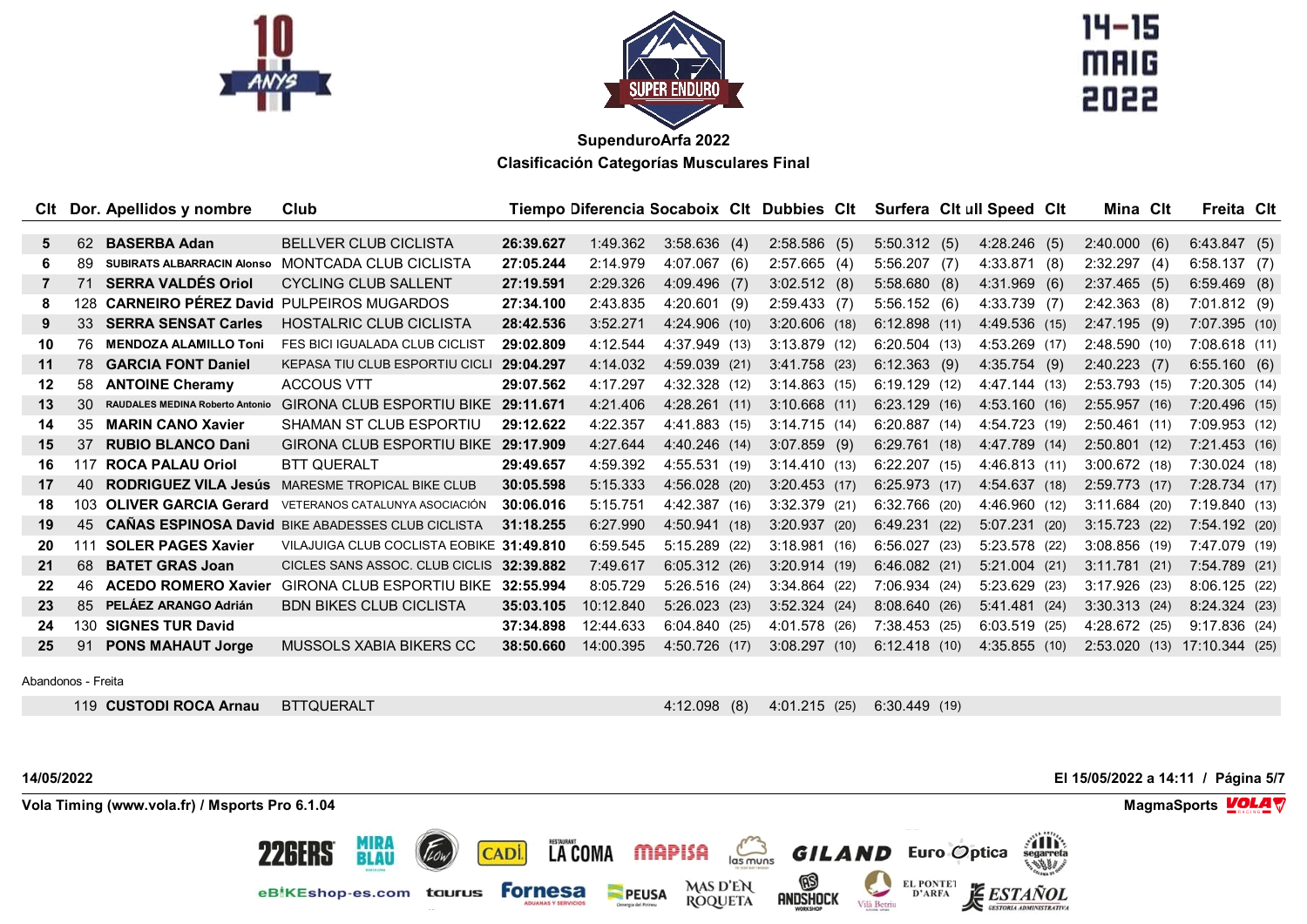



 $14 - 15$ **MAIG** 

| Clt     |     | Dor. Apellidos y nombre           | Club                                                     |           | Tiempo Diferencia Socaboix Clt Dubbies Clt |                 |      |                 |      |                 | Surfera Cit ull Speed Cit |      | Mina Cit        | Freita Clt      |  |
|---------|-----|-----------------------------------|----------------------------------------------------------|-----------|--------------------------------------------|-----------------|------|-----------------|------|-----------------|---------------------------|------|-----------------|-----------------|--|
|         |     |                                   |                                                          |           |                                            |                 |      |                 |      |                 |                           |      |                 |                 |  |
| 5.      | 62  | <b>BASERBA Adan</b>               | <b>BELLVER CLUB CICLISTA</b>                             | 26:39.627 | 1:49.362                                   | 3:58.636(4)     |      | $2:58.586$ (5)  |      | 5:50.312(5)     | 4:28.246(5)               |      | 2:40.000(6)     | 6:43.847(5)     |  |
| 6.      | 89  | <b>SUBIRATS ALBARRACIN Alonso</b> | MONTCADA CLUB CICLISTA                                   | 27:05.244 | 2:14.979                                   | 4:07.067(6)     |      | 2:57.665(4)     |      | $5:56.207$ (7)  | 4:33.871                  | (8)  | 2:32.297(4)     | 6:58.137(7)     |  |
| 7       | 71  | <b>SERRA VALDÉS Oriol</b>         | <b>CYCLING CLUB SALLENT</b>                              | 27:19.591 | 2:29.326                                   | $4:09.496$ (7)  |      | 3:02.512(8)     |      | 5:58.680(8)     | 4:31.969                  | (6)  | 2:37.465(5)     | $6:59.469$ (8)  |  |
|         | 128 | <b>CARNEIRO PÉREZ David</b>       | <b>PULPEIROS MUGARDOS</b>                                | 27:34.100 | 2:43.835                                   | $4:20.601$ (9)  |      | 2:59.433(7)     |      | 5:56.152(6)     | $4:33.739$ (7)            |      | 2:42.363(8)     | 7:01.812(9)     |  |
| 9       | 33  | <b>SERRA SENSAT Carles</b>        | <b>HOSTALRIC CLUB CICLISTA</b>                           | 28:42.536 | 3:52.271                                   | 4:24.906 (10)   |      | $3:20.606$ (18) |      | 6:12.898(11)    | 4:49.536 (15)             |      | 2:47.195(9)     | 7:07.395(10)    |  |
| 10      | 76  | <b>MENDOZA ALAMILLO Toni</b>      | <b>FES BICI IGUALADA CLUB CICLIST</b>                    | 29:02.809 | 4:12.544                                   | 4:37.949 (13)   |      | $3:13.879$ (12) |      | 6:20.504(13)    | 4:53.269 (17)             |      | 2:48.590(10)    | 7:08.618(11)    |  |
| 11      | 78  | <b>GARCIA FONT Daniel</b>         | KEPASA TIU CLUB ESPORTIU CICLI                           | 29:04.297 | 4:14.032                                   | 4:59.039 (21)   |      | $3:41.758$ (23) |      | $6:12.363$ (9)  | 4:35.754(9)               |      | $2:40.223$ (7)  | 6:55.160(6)     |  |
| $12 \,$ | 58  | <b>ANTOINE Cheramy</b>            | <b>ACCOUS VTT</b>                                        | 29:07.562 | 4:17.297                                   | 4:32.328 (12)   |      | 3:14.863(15)    |      | 6:19.129(12)    | 4:47.144 (13)             |      | $2:53.793$ (15) | 7:20.305(14)    |  |
| 13      | 30  | RAUDALES MEDINA Roberto Antonio   | <b>GIRONA CLUB ESPORTIU BIKE</b>                         | 29:11.671 | 4:21.406                                   | 4:28.261(11)    |      | 3:10.668(11)    |      | 6:23.129(16)    | 4:53.160(16)              |      | 2:55.957(16)    | 7:20.496(15)    |  |
| 14      | 35  | <b>MARIN CANO Xavier</b>          | SHAMAN ST CLUB ESPORTIU                                  | 29:12.622 | 4:22.357                                   | 4:41.883 (15)   |      | 3:14.715(14)    |      | 6:20.887(14)    | 4:54.723 (19)             |      | $2:50.461$ (11) | 7:09.953 (12)   |  |
| 15      | 37  | <b>RUBIO BLANCO Dani</b>          | GIRONA CLUB ESPORTIU BIKE 29:17.909                      |           | 4:27.644                                   | 4:40.246 (14)   |      | $3:07.859$ (9)  |      | 6:29.761(18)    | 4:47.789 (14)             |      | 2:50.801(12)    | 7:21.453(16)    |  |
| 16.     | 117 | <b>ROCA PALAU Oriol</b>           | <b>BTT QUERALT</b>                                       | 29:49.657 | 4:59.392                                   | 4:55.531 (19)   |      | 3:14.410(13)    |      | $6:22.207$ (15) | 4:46.813 (11)             |      | $3:00.672$ (18) | $7:30.024$ (18) |  |
| 17      | 40  | <b>RODRIGUEZ VILA Jesús</b>       | <b>MARESME TROPICAL BIKE CLUB</b>                        | 30:05.598 | 5:15.333                                   | 4:56.028(20)    |      | $3:20.453$ (17) |      | 6:25.973(17)    | 4:54.637(18)              |      | 2:59.773(17)    | 7:28.734(17)    |  |
| 18      | 103 | <b>OLIVER GARCIA Gerard</b>       | VETERANOS CATALUNYA ASOCIACIÓN                           | 30:06.016 | 5:15.751                                   | 4:42.387 (16)   |      | 3:32.379 (21)   |      | $6:32.766$ (20) | 4:46.960 (12)             |      | 3:11.684(20)    | 7:19.840(13)    |  |
| 19      | 45  |                                   | <b>CAÑAS ESPINOSA David BIKE ABADESSES CLUB CICLISTA</b> | 31:18.255 | 6:27.990                                   | 4:50.941        | (18) | 3:20.937        | (20) | 6:49.231(22)    | 5:07.231                  | (20) | $3:15.723$ (22) | 7:54.192(20)    |  |
| 20      | 111 | <b>SOLER PAGES Xavier</b>         | VILAJUIGA CLUB COCLISTA EOBIKE 31:49.810                 |           | 6:59.545                                   | 5:15.289 (22)   |      | 3:18.981(16)    |      | 6:56.027(23)    | 5:23.578 (22)             |      | $3:08.856$ (19) | 7:47.079 (19)   |  |
| 21      | 68  | <b>BATET GRAS Joan</b>            | CICLES SANS ASSOC. CLUB CICLIS                           | 32:39.882 | 7:49.617                                   | 6:05.312(26)    |      | 3:20.914(19)    |      | 6:46.082(21)    | $5:21.004$ (21)           |      | 3:11.781(21)    | 7:54.789 (21)   |  |
| 22      | 46. | <b>ACEDO ROMERO Xavier</b>        | <b>GIRONA CLUB ESPORTIU BIKE</b>                         | 32:55.994 | 8:05.729                                   | $5:26.516$ (24) |      | $3:34.864$ (22) |      | 7:06.934(24)    | 5:23.629                  | (23) | $3:17.926$ (23) | 8:06.125(22)    |  |
| 23      | 85  | PELÁEZ ARANGO Adrián              | <b>BDN BIKES CLUB CICLISTA</b>                           | 35:03.105 | 10:12.840                                  | 5:26.023(23)    |      | 3:52.324        | (24) | 8:08.640(26)    | 5:41.481                  | (24) | 3:30.313(24)    | 8:24.324(23)    |  |
| 24      | 130 | <b>SIGNES TUR David</b>           |                                                          | 37:34.898 | 12:44.633                                  | 6:04.840(25)    |      | 4:01.578 (26)   |      | 7:38.453(25)    | $6:03.519$ (25)           |      | 4:28.672 (25)   | 9:17.836(24)    |  |
| 25      | 91  | <b>PONS MAHAUT Jorge</b>          | MUSSOLS XABIA BIKERS CC                                  | 38:50.660 | 14:00.395                                  | 4:50.726        | (17) | 3:08.297        | (10) | 6:12.418(10)    | 4:35.855(10)              |      | 2:53.020(13)    | 17:10.344 (25)  |  |
|         |     |                                   |                                                          |           |                                            |                 |      |                 |      |                 |                           |      |                 |                 |  |

Abandonos - Freita

**CUSTODI ROCA Arnau** BTTQUERALT 4:12.098 (8) 4:01.215 (25) 6:30.449 (19)

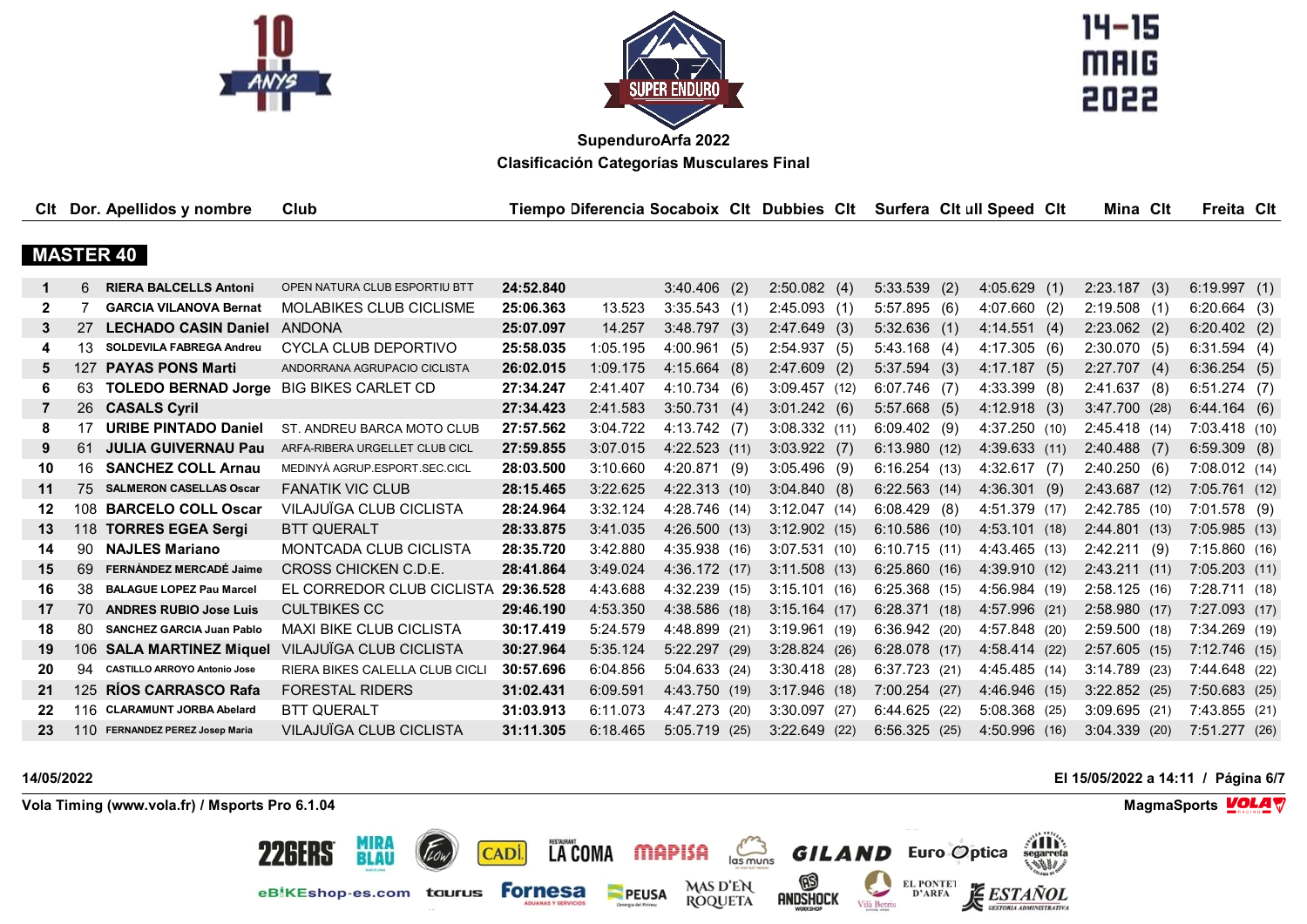



 $14 - 15$ **MAIG** 2022

|              |     | CIt Dor. Apellidos y nombre                    | Club                           |           | Tiempo Diferencia Socaboix Clt Dubbies Clt |                 |                 | Surfera Cit ull Speed Cit |                 |     | Mina Cit        | Freita Clt      |  |
|--------------|-----|------------------------------------------------|--------------------------------|-----------|--------------------------------------------|-----------------|-----------------|---------------------------|-----------------|-----|-----------------|-----------------|--|
|              |     |                                                |                                |           |                                            |                 |                 |                           |                 |     |                 |                 |  |
|              |     | <b>MASTER 40</b>                               |                                |           |                                            |                 |                 |                           |                 |     |                 |                 |  |
| 1            | 6.  | <b>RIERA BALCELLS Antoni</b>                   | OPEN NATURA CLUB ESPORTIU BTT  | 24:52.840 |                                            | $3:40.406$ (2)  | 2:50.082(4)     | $5:33.539$ (2)            | 4:05.629        |     |                 |                 |  |
|              |     |                                                |                                |           |                                            |                 |                 |                           |                 | (1) | 2:23.187(3)     | 6:19.997(1)     |  |
| $\mathbf{2}$ | 7   | <b>GARCIA VILANOVA Bernat</b>                  | <b>MOLABIKES CLUB CICLISME</b> | 25:06.363 | 13.523                                     | 3:35.543(1)     | 2:45.093(1)     | 5:57.895(6)               | 4:07.660(2)     |     | 2:19.508(1)     | $6:20.664$ (3)  |  |
| 3            | 27  | <b>LECHADO CASIN Daniel</b>                    | ANDONA                         | 25:07.097 | 14.257                                     | 3:48.797(3)     | 2:47.649(3)     | $5:32.636$ (1)            | 4:14.551(4)     |     | $2:23.062$ (2)  | $6:20.402$ (2)  |  |
| 4            | 13  | <b>SOLDEVILA FABREGA Andreu</b>                | CYCLA CLUB DEPORTIVO           | 25:58.035 | 1:05.195                                   | 4:00.961(5)     | 2:54.937(5)     | $5:43.168$ (4)            | 4:17.305(6)     |     | 2:30.070(5)     | 6:31.594(4)     |  |
| 5.           | 127 | <b>PAYAS PONS Marti</b>                        | ANDORRANA AGRUPACIO CICLISTA   | 26:02.015 | 1:09.175                                   | 4:15.664(8)     | $2:47.609$ (2)  | 5:37.594(3)               | 4:17.187(5)     |     | 2:27.707(4)     | 6:36.254(5)     |  |
| 6            | 63  | <b>TOLEDO BERNAD Jorge BIG BIKES CARLET CD</b> |                                | 27:34.247 | 2:41.407                                   | 4:10.734(6)     | 3:09.457(12)    | $6:07.746$ (7)            | $4:33.399$ (8)  |     | 2:41.637(8)     | $6:51.274$ (7)  |  |
| 7            | 26  | <b>CASALS Cyril</b>                            |                                | 27:34.423 | 2:41.583                                   | 3:50.731(4)     | 3:01.242(6)     | $5:57.668$ (5)            | 4:12.918(3)     |     | $3:47.700$ (28) | 6:44.164(6)     |  |
| 8            | 17  | <b>URIBE PINTADO Daniel</b>                    | ST. ANDREU BARCA MOTO CLUB     | 27:57.562 | 3:04.722                                   | 4:13.742(7)     | 3:08.332(11)    | $6:09.402$ (9)            | 4:37.250(10)    |     | 2:45.418(14)    | 7:03.418(10)    |  |
| 9            | 61  | <b>JULIA GUIVERNAU Pau</b>                     | ARFA-RIBERA URGELLET CLUB CICL | 27:59.855 | 3:07.015                                   | 4:22.523(11)    | $3:03.922$ (7)  | 6:13.980(12)              | 4:39.633(11)    |     | $2:40.488$ (7)  | $6:59.309$ (8)  |  |
| 10           | 16  | <b>SANCHEZ COLL Arnau</b>                      | MEDINYÀ AGRUP.ESPORT.SEC.CICL  | 28:03.500 | 3:10.660                                   | 4:20.871 (9)    | $3:05.496$ (9)  | 6:16.254(13)              | 4:32.617(7)     |     | 2:40.250(6)     | 7:08.012(14)    |  |
| 11           | 75  | <b>SALMERON CASELLAS Oscar</b>                 | <b>FANATIK VIC CLUB</b>        | 28:15.465 | 3:22.625                                   | 4:22.313 (10)   | 3:04.840(8)     | 6:22.563(14)              | 4:36.301(9)     |     | 2:43.687 (12)   | 7:05.761(12)    |  |
| 12           |     | 108 BARCELO COLL Oscar                         | VILAJUÏGA CLUB CICLISTA        | 28:24.964 | 3:32.124                                   | 4:28.746 (14)   | 3:12.047(14)    | 6:08.429(8)               | 4:51.379 (17)   |     | 2:42.785(10)    | $7:01.578$ (9)  |  |
| 13           | 118 | <b>TORRES EGEA Sergi</b>                       | <b>BTT QUERALT</b>             | 28:33.875 | 3:41.035                                   | 4:26.500 (13)   | 3:12.902(15)    | 6:10.586(10)              | 4:53.101(18)    |     | 2:44.801(13)    | 7:05.985(13)    |  |
| 14           | 90  | <b>NAJLES Mariano</b>                          | <b>MONTCADA CLUB CICLISTA</b>  | 28:35.720 | 3:42.880                                   | 4:35.938 (16)   | 3:07.531(10)    | 6:10.715(11)              | 4:43.465 (13)   |     | 2:42.211(9)     | 7:15.860(16)    |  |
| 15           | 69  | FERNÁNDEZ MERCADÉ Jaime                        | CROSS CHICKEN C.D.E.           | 28:41.864 | 3:49.024                                   | 4:36.172 (17)   | $3:11.508$ (13) | 6:25.860(16)              | 4:39.910 (12)   |     | 2:43.211(11)    | 7:05.203(11)    |  |
| 16           | 38  | <b>BALAGUE LOPEZ Pau Marcel</b>                | EL CORREDOR CLUB CICLISTA      | 29:36.528 | 4:43.688                                   | 4:32.239 (15)   | 3:15.101(16)    | 6:25.368(15)              | 4:56.984 (19)   |     | 2:58.125(16)    | 7:28.711(18)    |  |
| 17           | 70  | <b>ANDRES RUBIO Jose Luis</b>                  | <b>CULTBIKES CC</b>            | 29:46.190 | 4:53.350                                   | 4:38.586 (18)   | $3:15.164$ (17) | 6:28.371(18)              | 4:57.996 (21)   |     | 2:58.980(17)    | $7:27.093$ (17) |  |
| 18           | 80  | <b>SANCHEZ GARCIA Juan Pablo</b>               | <b>MAXI BIKE CLUB CICLISTA</b> | 30:17.419 | 5:24.579                                   | 4:48.899 (21)   | 3:19.961(19)    | 6:36.942(20)              | 4:57.848 (20)   |     | 2:59.500(18)    | 7:34.269 (19)   |  |
| 19           | 106 | <b>SALA MARTINEZ Miquel</b>                    | VILAJUÏGA CLUB CICLISTA        | 30:27.964 | 5:35.124                                   | $5:22.297$ (29) | 3:28.824(26)    | 6:28.078(17)              | 4:58.414 (22)   |     | 2:57.605(15)    | 7:12.746(15)    |  |
| 20           | 94  | <b>CASTILLO ARROYO Antonio Jose</b>            | RIERA BIKES CALELLA CLUB CICL  | 30:57.696 | 6:04.856                                   | 5:04.633 (24)   | $3:30.418$ (28) | 6:37.723(21)              | 4:45.485 (14)   |     | $3:14.789$ (23) | 7:44.648 (22)   |  |
| 21           | 125 | RÍOS CARRASCO Rafa                             | <b>FORESTAL RIDERS</b>         | 31:02.431 | 6:09.591                                   | 4:43.750 (19)   | $3:17.946$ (18) | 7:00.254(27)              | 4:46.946 (15)   |     | $3:22.852$ (25) | 7:50.683(25)    |  |
| 22           |     | 116 CLARAMUNT JORBA Abelard                    | <b>BTT QUERALT</b>             | 31:03.913 | 6:11.073                                   | 4:47.273 (20)   | 3:30.097(27)    | 6:44.625(22)              | $5:08.368$ (25) |     | 3:09.695(21)    | 7:43.855(21)    |  |
| 23           | 110 | <b>FERNANDEZ PEREZ Josep Maria</b>             | VILAJUÏGA CLUB CICLISTA        | 31:11.305 | 6:18.465                                   | $5:05.719$ (25) | $3:22.649$ (22) | 6:56.325(25)              | 4:50.996 (16)   |     | $3:04.339$ (20) | 7:51.277(26)    |  |

#### **14/05/2022 El 15/05/2022 a 14:11 / Página 6/7 Vola Timing (www.vola.fr) / Msports Pro 6.1.04 MagmaSports VOLA**  $\mathbf{\nabla}$ **THE** LA COMA MAPISA **MIRA<br>BLAU** 226ERS  $\sum_{\text{las minus}}$ **GILAND** Euro Optica CADI.  $\circledR$ MAS D'EN<br>ROQUETA EL PONTE1<br>D'ARFA eBiKEshop-es.com taurus Fornesa 姜 PEUSA **ESTAÑOL** andshock Vilà Betriu **GESTORIA ADMINISTRATIVA**